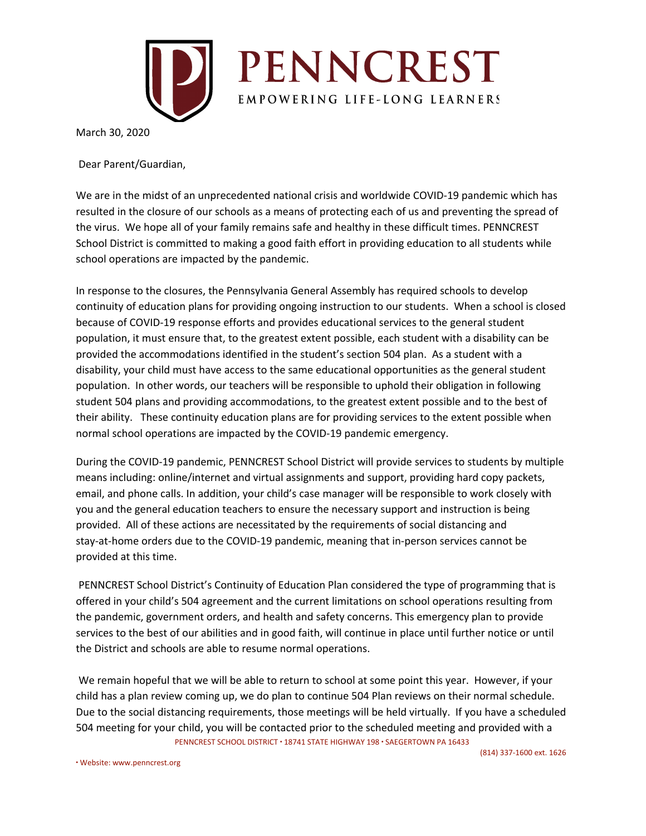

March 30, 2020

Dear Parent/Guardian,

We are in the midst of an unprecedented national crisis and worldwide COVID-19 pandemic which has resulted in the closure of our schools as a means of protecting each of us and preventing the spread of the virus. We hope all of your family remains safe and healthy in these difficult times. PENNCREST School District is committed to making a good faith effort in providing education to all students while school operations are impacted by the pandemic.

In response to the closures, the Pennsylvania General Assembly has required schools to develop continuity of education plans for providing ongoing instruction to our students. When a school is closed because of COVID-19 response efforts and provides educational services to the general student population, it must ensure that, to the greatest extent possible, each student with a disability can be provided the accommodations identified in the student's section 504 plan. As a student with a disability, your child must have access to the same educational opportunities as the general student population. In other words, our teachers will be responsible to uphold their obligation in following student 504 plans and providing accommodations, to the greatest extent possible and to the best of their ability. These continuity education plans are for providing services to the extent possible when normal school operations are impacted by the COVID-19 pandemic emergency.

During the COVID-19 pandemic, PENNCREST School District will provide services to students by multiple means including: online/internet and virtual assignments and support, providing hard copy packets, email, and phone calls. In addition, your child's case manager will be responsible to work closely with you and the general education teachers to ensure the necessary support and instruction is being provided. All of these actions are necessitated by the requirements of social distancing and stay-at-home orders due to the COVID-19 pandemic, meaning that in-person services cannot be provided at this time.

PENNCREST School District's Continuity of Education Plan considered the type of programming that is offered in your child's 504 agreement and the current limitations on school operations resulting from the pandemic, government orders, and health and safety concerns. This emergency plan to provide services to the best of our abilities and in good faith, will continue in place until further notice or until the District and schools are able to resume normal operations.

We remain hopeful that we will be able to return to school at some point this year. However, if your child has a plan review coming up, we do plan to continue 504 Plan reviews on their normal schedule. Due to the social distancing requirements, those meetings will be held virtually. If you have a scheduled 504 meeting for your child, you will be contacted prior to the scheduled meeting and provided with a PENNCREST SCHOOL DISTRICT ∙ 18741 STATE HIGHWAY 198 ∙ SAEGERTOWN PA 16433